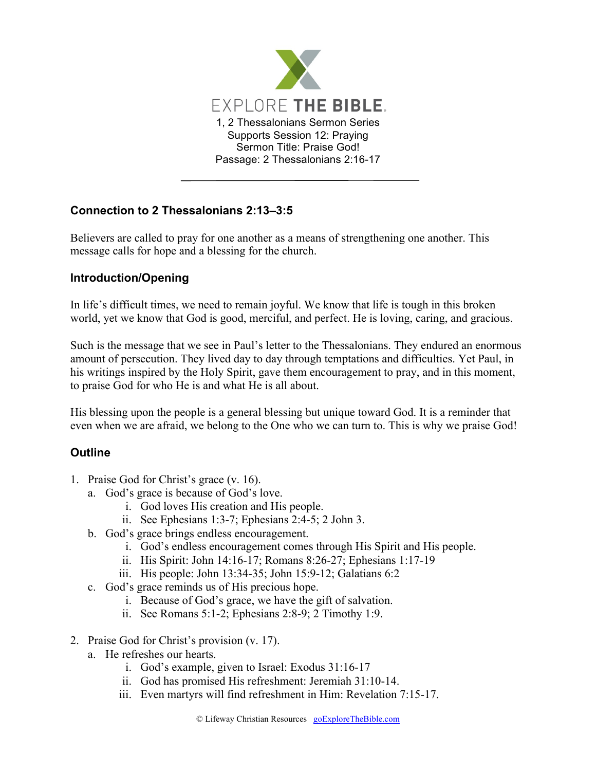

## **Connection to 2 Thessalonians 2:13–3:5**

Believers are called to pray for one another as a means of strengthening one another. This message calls for hope and a blessing for the church.

## **Introduction/Opening**

In life's difficult times, we need to remain joyful. We know that life is tough in this broken world, yet we know that God is good, merciful, and perfect. He is loving, caring, and gracious.

Such is the message that we see in Paul's letter to the Thessalonians. They endured an enormous amount of persecution. They lived day to day through temptations and difficulties. Yet Paul, in his writings inspired by the Holy Spirit, gave them encouragement to pray, and in this moment, to praise God for who He is and what He is all about.

His blessing upon the people is a general blessing but unique toward God. It is a reminder that even when we are afraid, we belong to the One who we can turn to. This is why we praise God!

## **Outline**

- 1. Praise God for Christ's grace (v. 16).
	- a. God's grace is because of God's love.
		- i. God loves His creation and His people.
		- ii. See Ephesians 1:3-7; Ephesians 2:4-5; 2 John 3.
	- b. God's grace brings endless encouragement.
		- i. God's endless encouragement comes through His Spirit and His people.
		- ii. His Spirit: John 14:16-17; Romans 8:26-27; Ephesians 1:17-19
		- iii. His people: John 13:34-35; John 15:9-12; Galatians 6:2
	- c. God's grace reminds us of His precious hope.
		- i. Because of God's grace, we have the gift of salvation.
		- ii. See Romans 5:1-2; Ephesians 2:8-9; 2 Timothy 1:9.
- 2. Praise God for Christ's provision (v. 17).
	- a. He refreshes our hearts.
		- i. God's example, given to Israel: Exodus 31:16-17
		- ii. God has promised His refreshment: Jeremiah 31:10-14.
		- iii. Even martyrs will find refreshment in Him: Revelation 7:15-17.